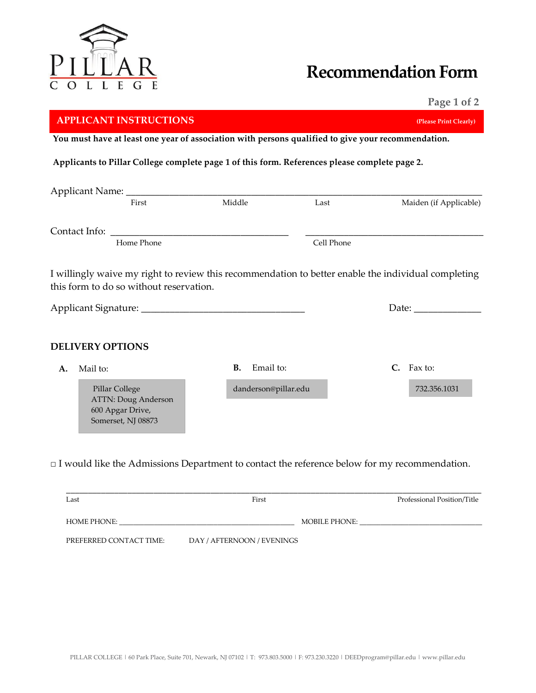

## **Recommendation Form**

 **Page 1 of 2**

|                                                                                                    | <b>APPLICANT INSTRUCTIONS</b>                                                   |                                                                                                     |                                                                                                              |  | (Please Print Clearly) |  |  |
|----------------------------------------------------------------------------------------------------|---------------------------------------------------------------------------------|-----------------------------------------------------------------------------------------------------|--------------------------------------------------------------------------------------------------------------|--|------------------------|--|--|
| You must have at least one year of association with persons qualified to give your recommendation. |                                                                                 |                                                                                                     |                                                                                                              |  |                        |  |  |
|                                                                                                    |                                                                                 | Applicants to Pillar College complete page 1 of this form. References please complete page 2.       |                                                                                                              |  |                        |  |  |
|                                                                                                    |                                                                                 |                                                                                                     |                                                                                                              |  |                        |  |  |
|                                                                                                    | First                                                                           | Middle                                                                                              | Last                                                                                                         |  | Maiden (if Applicable) |  |  |
|                                                                                                    |                                                                                 |                                                                                                     |                                                                                                              |  |                        |  |  |
|                                                                                                    | Home Phone                                                                      |                                                                                                     | Cell Phone                                                                                                   |  |                        |  |  |
|                                                                                                    | this form to do so without reservation.                                         |                                                                                                     | I willingly waive my right to review this recommendation to better enable the individual completing<br>Date: |  |                        |  |  |
|                                                                                                    | <b>DELIVERY OPTIONS</b>                                                         |                                                                                                     |                                                                                                              |  |                        |  |  |
| A.                                                                                                 | Mail to:                                                                        | Email to:<br><b>B.</b>                                                                              |                                                                                                              |  | C. Fax to:             |  |  |
|                                                                                                    | Pillar College<br>ATTN: Doug Anderson<br>600 Apgar Drive,<br>Somerset, NJ 08873 | danderson@pillar.edu                                                                                |                                                                                                              |  | 732.356.1031           |  |  |
|                                                                                                    |                                                                                 | $\Box$ I would like the Admissions Department to contact the reference below for my recommendation. |                                                                                                              |  |                        |  |  |

| Last                    | First                      |               | Professional Position/Title |  |  |
|-------------------------|----------------------------|---------------|-----------------------------|--|--|
| HOME PHONE:             |                            | MOBILE PHONE: |                             |  |  |
| PREFERRED CONTACT TIME: | DAY / AFTERNOON / EVENINGS |               |                             |  |  |

PILLAR COLLEGE | 60 Park Place, Suite 701, Newark, NJ 07102 | T: 973.803.5000 | F: 973.230.3220 | DEEDprogram@pillar.edu | www.pillar.edu